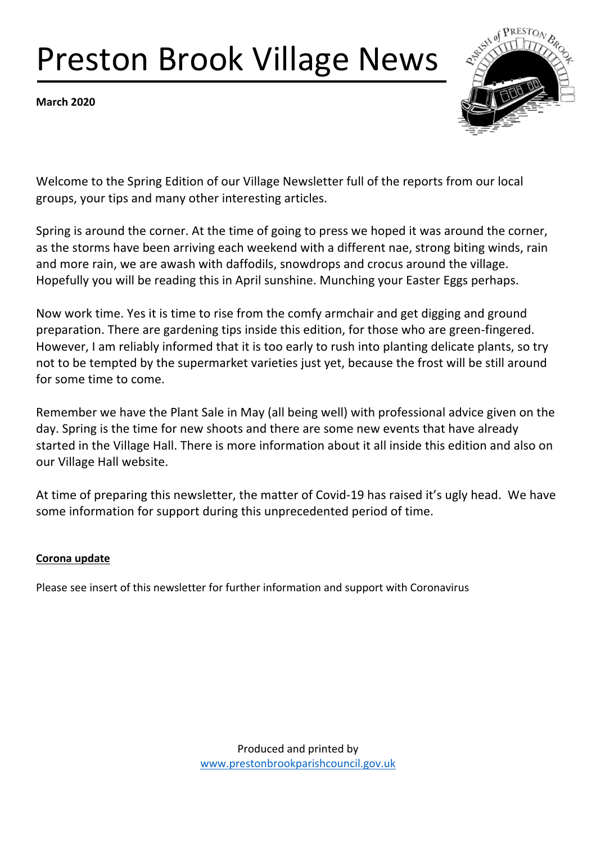# Preston Brook Village News

**March 2020**



Welcome to the Spring Edition of our Village Newsletter full of the reports from our local groups, your tips and many other interesting articles.

Spring is around the corner. At the time of going to press we hoped it was around the corner, as the storms have been arriving each weekend with a different nae, strong biting winds, rain and more rain, we are awash with daffodils, snowdrops and crocus around the village. Hopefully you will be reading this in April sunshine. Munching your Easter Eggs perhaps.

Now work time. Yes it is time to rise from the comfy armchair and get digging and ground preparation. There are gardening tips inside this edition, for those who are green-fingered. However, I am reliably informed that it is too early to rush into planting delicate plants, so try not to be tempted by the supermarket varieties just yet, because the frost will be still around for some time to come.

Remember we have the Plant Sale in May (all being well) with professional advice given on the day. Spring is the time for new shoots and there are some new events that have already started in the Village Hall. There is more information about it all inside this edition and also on our Village Hall website.

At time of preparing this newsletter, the matter of Covid-19 has raised it's ugly head. We have some information for support during this unprecedented period of time.

### **Corona update**

Please see insert of this newsletter for further information and support with Coronavirus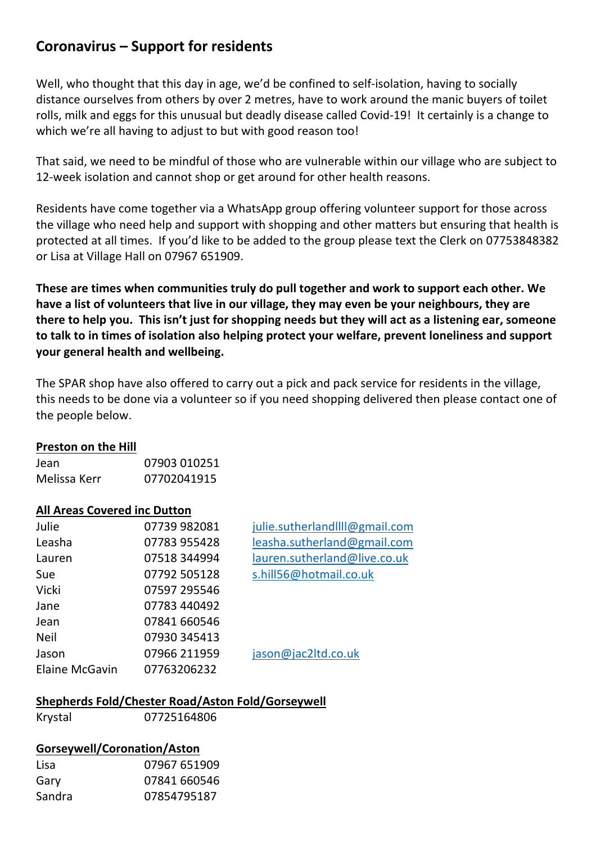## **Coronavirus – Support for residents**

Well, who thought that this day in age, we'd be confined to self-isolation, having to socially distance ourselves from others by over 2 metres, have to work around the manic buyers of toilet rolls, milk and eggs for this unusual but deadly disease called Covid-19! It certainly is a change to which we're all having to adjust to but with good reason too!

That said, we need to be mindful of those who are vulnerable within our village who are subject to 12-week isolation and cannot shop or get around for other health reasons.

Residents have come together via a WhatsApp group offering volunteer support for those across the village who need help and support with shopping and other matters but ensuring that health is protected at all times. If you'd like to be added to the group please text the Clerk on 07753848382 or Lisa at Village Hall on 07967 651909.

**These are times when communities truly do pull together and work to support each other. We have a list of volunteers that live in our village, they may even be your neighbours, they are there to help you. This isn't just for shopping needs but they will act as a listening ear, someone to talk to in times of isolation also helping protect your welfare, prevent loneliness and support your general health and wellbeing.** 

The SPAR shop have also offered to carry out a pick and pack service for residents in the village, this needs to be done via a volunteer so if you need shopping delivered then please contact one of the people below.

### **Preston on the Hill**

| Jean         | 07903 010251 |
|--------------|--------------|
| Melissa Kerr | 07702041915  |

#### **All Areas Covered inc Dutton**

| Julie                 | 07739 982081 |
|-----------------------|--------------|
| Leasha                | 07783 955428 |
| Lauren                | 07518 344994 |
| Sue                   | 07792 505128 |
| Vicki                 | 07597 295546 |
| Jane                  | 07783 440492 |
| Jean                  | 07841 660546 |
| <b>Neil</b>           | 07930 345413 |
| Jason                 | 07966 211959 |
| <b>Elaine McGavin</b> | 07763206232  |

julie.sutherlandllll@gmail.com leasha.sutherland@gmail.com lauren.sutherland@live.co.uk s.hill56@hotmail.co.uk

jason@jac2ltd.co.uk

### **Shepherds Fold/Chester Road/Aston Fold/Gorseywell**

| Krystal |  |
|---------|--|
|---------|--|

07725164806

### **Gorseywell/Coronation/Aston**

| Lisa   | 07967 651909 |
|--------|--------------|
| Gary   | 07841 660546 |
| Sandra | 07854795187  |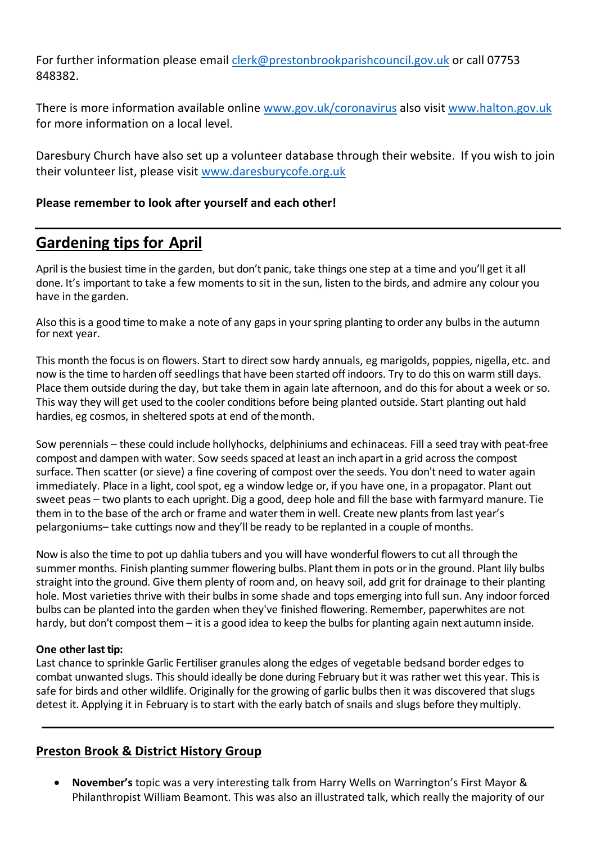For further information please email clerk@prestonbrookparishcouncil.gov.uk or call 07753 848382.

There is more information available online www.gov.uk/coronavirus also visit www.halton.gov.uk for more information on a local level.

Daresbury Church have also set up a volunteer database through their website. If you wish to join their volunteer list, please visit www.daresburycofe.org.uk

### **Please remember to look after yourself and each other!**

# **Gardening tips for April**

April is the busiest time in the garden, but don't panic, take things one step at a time and you'll get it all done. It's important to take a few moments to sit in the sun, listen to the birds, and admire any colour you have in the garden.

Also this is a good time to make a note of any gaps in your spring planting to order any bulbs in the autumn for next year.

This month the focus is on flowers. Start to direct sow hardy annuals, eg marigolds, poppies, nigella, etc. and now is the time to harden off seedlings that have been started off indoors. Try to do this on warm still days. Place them outside during the day, but take them in again late afternoon, and do this for about a week or so. This way they will get used to the cooler conditions before being planted outside. Start planting out hald hardies, eg cosmos, in sheltered spots at end of themonth.

Sow perennials – these could include hollyhocks, delphiniums and echinaceas. Fill a seed tray with peat-free compost and dampen with water. Sow seeds spaced at least an inch apartin a grid across the compost surface. Then scatter (or sieve) a fine covering of compost over the seeds. You don't need to water again immediately. Place in a light, cool spot, eg a window ledge or, if you have one, in a propagator. Plant out sweet peas – two plants to each upright. Dig a good, deep hole and fill the base with farmyard manure. Tie them in to the base of the arch or frame and water them in well. Create new plants from last year's pelargoniums– take cuttings now and they'll be ready to be replanted in a couple of months.

Now is also the time to pot up dahlia tubers and you will have wonderful flowers to cut all through the summer months. Finish planting summer flowering bulbs. Plant them in pots or in the ground. Plant lily bulbs straight into the ground. Give them plenty of room and, on heavy soil, add grit for drainage to their planting hole. Most varieties thrive with their bulbs in some shade and tops emerging into full sun. Any indoor forced bulbs can be planted into the garden when they've finished flowering. Remember, paperwhites are not hardy, but don't compost them – it is a good idea to keep the bulbs for planting again next autumn inside.

#### **One other last tip:**

Last chance to sprinkle Garlic Fertiliser granules along the edges of vegetable bedsand border edges to combat unwanted slugs. This should ideally be done during February but it was rather wet this year. This is safe for birds and other wildlife. Originally for the growing of garlic bulbs then it was discovered that slugs detest it. Applying it in February is to start with the early batch of snails and slugs before theymultiply.

### **Preston Brook & District History Group**

• **November's** topic was a very interesting talk from Harry Wells on Warrington's First Mayor & Philanthropist William Beamont. This was also an illustrated talk, which really the majority of our